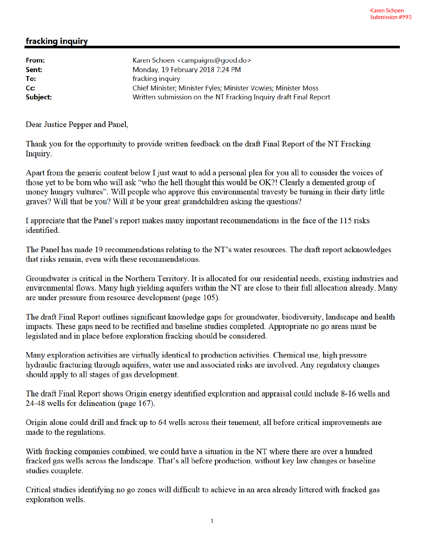## fracking inquiry

| From:    | Karen Schoen <campaigns@good.do></campaigns@good.do>             |
|----------|------------------------------------------------------------------|
| Sent:    | Monday, 19 February 2018 7:24 PM                                 |
| To:      | fracking inquiry                                                 |
| Cc:      | Chief Minister; Minister Fyles; Minister Vowles; Minister Moss   |
| Subject: | Written submission on the NT Fracking Inquiry draft Final Report |

Dear Justice Pepper and Panel,

Thank you for the opportunity to provide written feedback on the draft Final Report of the NT Fracking Inquiry.

Apart from the generic content below I just want to add a personal plea for you all to consider the voices of those yet to be born who will ask "who the hell thought this would be OK?! Clearly a demented group of money hungry vultures". Will people who approve this environmental travesty be turning in their dirty little graves? Will that be you? Will it be your great grandchildren asking the questions?

I appreciate that the Panel's report makes many important recommendations in the face of the 115 risks identified.

The Panel has made 19 recommendations relating to the NT's water resources. The draft report acknowledges that risks remain, even with these recommendations.

Groundwater is critical in the Northern Territory. It is allocated for our residential needs, existing industries and environmental flows. Many high yielding aquifers within the NT are close to their full allocation already. Many are under pressure from resource development (page 105).

The draft Final Report outlines significant knowledge gaps for groundwater, biodiversity, landscape and health impacts. These gaps need to be rectified and baseline studies completed. Appropriate no go areas must be legislated and in place before exploration fracking should be considered.

Many exploration activities are virtually identical to production activities. Chemical use, high pressure hydraulic fracturing through aquifers, water use and associated risks are involved. Any regulatory changes should apply to all stages of gas development.

The draft Final Report shows Origin energy identified exploration and appraisal could include 8-16 wells and 24-48 wells for delineation (page 167).

Origin alone could drill and frack up to 64 wells across their tenement, all before critical improvements are made to the regulations.

With fracking companies combined, we could have a situation in the NT where there are over a hundred fracked gas wells across the landscape. That's all before production, without key law changes or baseline studies complete.

Critical studies identifying no go zones will difficult to achieve in an area already littered with fracked gas exploration wells.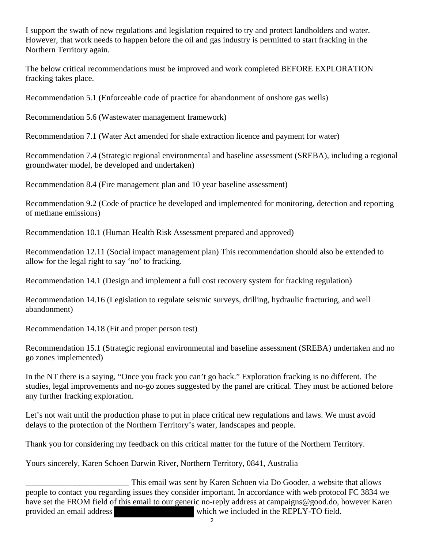I support the swath of new regulations and legislation required to try and protect landholders and water. However, that work needs to happen before the oil and gas industry is permitted to start fracking in the Northern Territory again.

The below critical recommendations must be improved and work completed BEFORE EXPLORATION fracking takes place.

Recommendation 5.1 (Enforceable code of practice for abandonment of onshore gas wells)

Recommendation 5.6 (Wastewater management framework)

Recommendation 7.1 (Water Act amended for shale extraction licence and payment for water)

Recommendation 7.4 (Strategic regional environmental and baseline assessment (SREBA), including a regional groundwater model, be developed and undertaken)

Recommendation 8.4 (Fire management plan and 10 year baseline assessment)

Recommendation 9.2 (Code of practice be developed and implemented for monitoring, detection and reporting of methane emissions)

Recommendation 10.1 (Human Health Risk Assessment prepared and approved)

Recommendation 12.11 (Social impact management plan) This recommendation should also be extended to allow for the legal right to say 'no' to fracking.

Recommendation 14.1 (Design and implement a full cost recovery system for fracking regulation)

Recommendation 14.16 (Legislation to regulate seismic surveys, drilling, hydraulic fracturing, and well abandonment)

Recommendation 14.18 (Fit and proper person test)

Recommendation 15.1 (Strategic regional environmental and baseline assessment (SREBA) undertaken and no go zones implemented)

In the NT there is a saying, "Once you frack you can't go back." Exploration fracking is no different. The studies, legal improvements and no-go zones suggested by the panel are critical. They must be actioned before any further fracking exploration.

Let's not wait until the production phase to put in place critical new regulations and laws. We must avoid delays to the protection of the Northern Territory's water, landscapes and people.

Thank you for considering my feedback on this critical matter for the future of the Northern Territory.

Yours sincerely, Karen Schoen Darwin River, Northern Territory, 0841, Australia

This email was sent by Karen Schoen via Do Gooder, a website that allows people to contact you regarding issues they consider important. In accordance with web protocol FC 3834 we have set the FROM field of this email to our generic no-reply address at campaigns@good.do, however Karen provided an email address which we included in the REPLY-TO field.